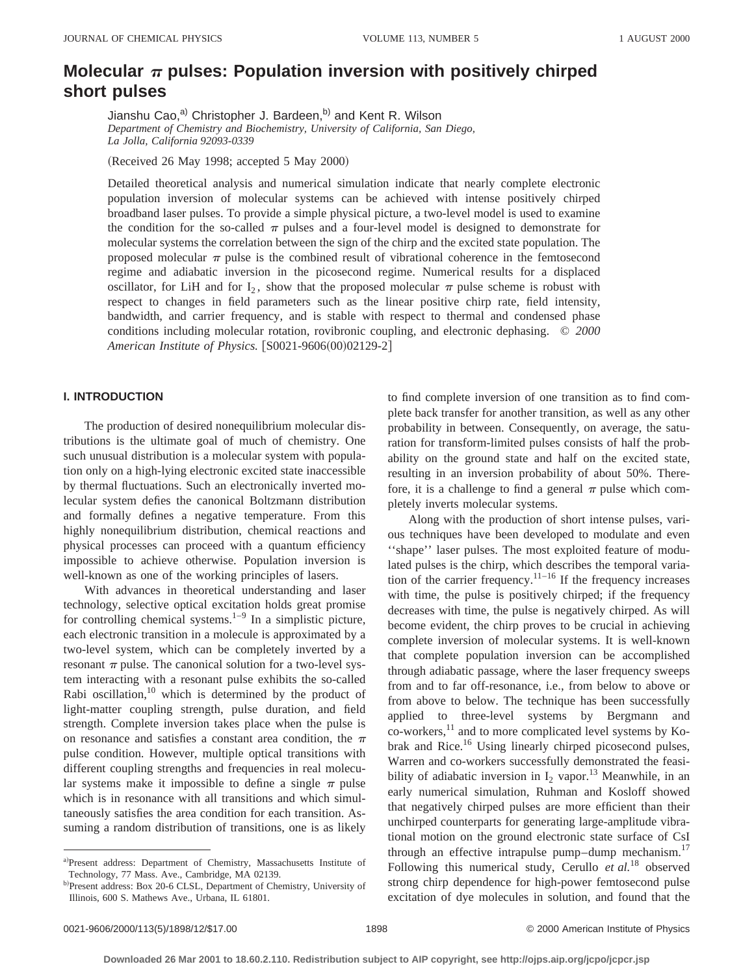# **Molecular**  $\pi$  pulses: Population inversion with positively chirped **short pulses**

Jianshu Cao,<sup>a)</sup> Christopher J. Bardeen,<sup>b)</sup> and Kent R. Wilson *Department of Chemistry and Biochemistry, University of California, San Diego, La Jolla, California 92093-0339*

(Received 26 May 1998; accepted 5 May 2000)

Detailed theoretical analysis and numerical simulation indicate that nearly complete electronic population inversion of molecular systems can be achieved with intense positively chirped broadband laser pulses. To provide a simple physical picture, a two-level model is used to examine the condition for the so-called  $\pi$  pulses and a four-level model is designed to demonstrate for molecular systems the correlation between the sign of the chirp and the excited state population. The proposed molecular  $\pi$  pulse is the combined result of vibrational coherence in the femtosecond regime and adiabatic inversion in the picosecond regime. Numerical results for a displaced oscillator, for LiH and for I<sub>2</sub>, show that the proposed molecular  $\pi$  pulse scheme is robust with respect to changes in field parameters such as the linear positive chirp rate, field intensity, bandwidth, and carrier frequency, and is stable with respect to thermal and condensed phase conditions including molecular rotation, rovibronic coupling, and electronic dephasing. © *2000 American Institute of Physics.* [S0021-9606(00)02129-2]

## **I. INTRODUCTION**

The production of desired nonequilibrium molecular distributions is the ultimate goal of much of chemistry. One such unusual distribution is a molecular system with population only on a high-lying electronic excited state inaccessible by thermal fluctuations. Such an electronically inverted molecular system defies the canonical Boltzmann distribution and formally defines a negative temperature. From this highly nonequilibrium distribution, chemical reactions and physical processes can proceed with a quantum efficiency impossible to achieve otherwise. Population inversion is well-known as one of the working principles of lasers.

With advances in theoretical understanding and laser technology, selective optical excitation holds great promise for controlling chemical systems. $1-9$  In a simplistic picture, each electronic transition in a molecule is approximated by a two-level system, which can be completely inverted by a resonant  $\pi$  pulse. The canonical solution for a two-level system interacting with a resonant pulse exhibits the so-called Rabi oscillation, $10$  which is determined by the product of light-matter coupling strength, pulse duration, and field strength. Complete inversion takes place when the pulse is on resonance and satisfies a constant area condition, the  $\pi$ pulse condition. However, multiple optical transitions with different coupling strengths and frequencies in real molecular systems make it impossible to define a single  $\pi$  pulse which is in resonance with all transitions and which simultaneously satisfies the area condition for each transition. Assuming a random distribution of transitions, one is as likely

to find complete inversion of one transition as to find complete back transfer for another transition, as well as any other probability in between. Consequently, on average, the saturation for transform-limited pulses consists of half the probability on the ground state and half on the excited state, resulting in an inversion probability of about 50%. Therefore, it is a challenge to find a general  $\pi$  pulse which completely inverts molecular systems.

Along with the production of short intense pulses, various techniques have been developed to modulate and even ''shape'' laser pulses. The most exploited feature of modulated pulses is the chirp, which describes the temporal variation of the carrier frequency.<sup>11–16</sup> If the frequency increases with time, the pulse is positively chirped; if the frequency decreases with time, the pulse is negatively chirped. As will become evident, the chirp proves to be crucial in achieving complete inversion of molecular systems. It is well-known that complete population inversion can be accomplished through adiabatic passage, where the laser frequency sweeps from and to far off-resonance, i.e., from below to above or from above to below. The technique has been successfully applied to three-level systems by Bergmann and co-workers,<sup>11</sup> and to more complicated level systems by Kobrak and Rice.16 Using linearly chirped picosecond pulses, Warren and co-workers successfully demonstrated the feasibility of adiabatic inversion in  $I_2$  vapor.<sup>13</sup> Meanwhile, in an early numerical simulation, Ruhman and Kosloff showed that negatively chirped pulses are more efficient than their unchirped counterparts for generating large-amplitude vibrational motion on the ground electronic state surface of CsI through an effective intrapulse pump-dump mechanism.<sup>17</sup> Following this numerical study, Cerullo *et al.*<sup>18</sup> observed strong chirp dependence for high-power femtosecond pulse excitation of dye molecules in solution, and found that the

a)Present address: Department of Chemistry, Massachusetts Institute of Technology, 77 Mass. Ave., Cambridge, MA 02139.

b)Present address: Box 20-6 CLSL, Department of Chemistry, University of Illinois, 600 S. Mathews Ave., Urbana, IL 61801.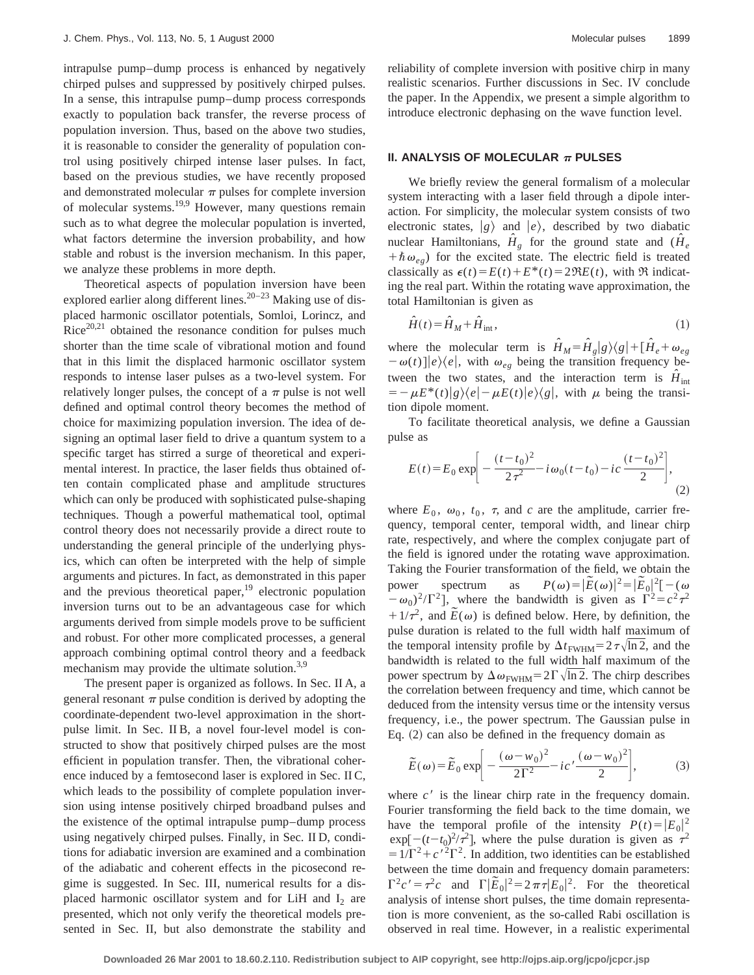intrapulse pump–dump process is enhanced by negatively chirped pulses and suppressed by positively chirped pulses. In a sense, this intrapulse pump–dump process corresponds exactly to population back transfer, the reverse process of population inversion. Thus, based on the above two studies, it is reasonable to consider the generality of population control using positively chirped intense laser pulses. In fact, based on the previous studies, we have recently proposed and demonstrated molecular  $\pi$  pulses for complete inversion of molecular systems.<sup>19,9</sup> However, many questions remain such as to what degree the molecular population is inverted, what factors determine the inversion probability, and how stable and robust is the inversion mechanism. In this paper, we analyze these problems in more depth.

Theoretical aspects of population inversion have been explored earlier along different lines.<sup>20–23</sup> Making use of displaced harmonic oscillator potentials, Somloi, Lorincz, and Rice $^{20,21}$  obtained the resonance condition for pulses much shorter than the time scale of vibrational motion and found that in this limit the displaced harmonic oscillator system responds to intense laser pulses as a two-level system. For relatively longer pulses, the concept of a  $\pi$  pulse is not well defined and optimal control theory becomes the method of choice for maximizing population inversion. The idea of designing an optimal laser field to drive a quantum system to a specific target has stirred a surge of theoretical and experimental interest. In practice, the laser fields thus obtained often contain complicated phase and amplitude structures which can only be produced with sophisticated pulse-shaping techniques. Though a powerful mathematical tool, optimal control theory does not necessarily provide a direct route to understanding the general principle of the underlying physics, which can often be interpreted with the help of simple arguments and pictures. In fact, as demonstrated in this paper and the previous theoretical paper, $19$  electronic population inversion turns out to be an advantageous case for which arguments derived from simple models prove to be sufficient and robust. For other more complicated processes, a general approach combining optimal control theory and a feedback mechanism may provide the ultimate solution.<sup>3,9</sup>

The present paper is organized as follows. In Sec. II A, a general resonant  $\pi$  pulse condition is derived by adopting the coordinate-dependent two-level approximation in the shortpulse limit. In Sec. II B, a novel four-level model is constructed to show that positively chirped pulses are the most efficient in population transfer. Then, the vibrational coherence induced by a femtosecond laser is explored in Sec. II C, which leads to the possibility of complete population inversion using intense positively chirped broadband pulses and the existence of the optimal intrapulse pump–dump process using negatively chirped pulses. Finally, in Sec. II D, conditions for adiabatic inversion are examined and a combination of the adiabatic and coherent effects in the picosecond regime is suggested. In Sec. III, numerical results for a displaced harmonic oscillator system and for LiH and  $I_2$  are presented, which not only verify the theoretical models presented in Sec. II, but also demonstrate the stability and reliability of complete inversion with positive chirp in many realistic scenarios. Further discussions in Sec. IV conclude the paper. In the Appendix, we present a simple algorithm to introduce electronic dephasing on the wave function level.

## **II. ANALYSIS OF MOLECULAR**  $\pi$  **PULSES**

We briefly review the general formalism of a molecular system interacting with a laser field through a dipole interaction. For simplicity, the molecular system consists of two electronic states,  $|g\rangle$  and  $|e\rangle$ , described by two diabatic nuclear Hamiltonians,  $H<sub>e</sub>$  for the ground state and  $(H<sub>e</sub>)$  $+\hbar \omega_{eg}$ ) for the excited state. The electric field is treated classically as  $\epsilon(t) = E(t) + E^*(t) = 2\Re E(t)$ , with R indicating the real part. Within the rotating wave approximation, the total Hamiltonian is given as

$$
\hat{H}(t) = \hat{H}_M + \hat{H}_{\text{int}},\tag{1}
$$

where the molecular term is  $\hat{H}_M = \hat{H}_g |g\rangle\langle g| + [\hat{H}_e + \omega_{eg}]$  $-\omega(t)$ ] $|e\rangle\langle e|$ , with  $\omega_{eg}$  being the transition frequency between the two states, and the interaction term is  $H_{int}$  $= -\mu E^*(t)|g\rangle\langle e| - \mu E(t)|e\rangle\langle g|$ , with  $\mu$  being the transition dipole moment.

To facilitate theoretical analysis, we define a Gaussian pulse as

$$
E(t) = E_0 \exp\left[-\frac{(t - t_0)^2}{2\tau^2} - i\omega_0(t - t_0) - ic\frac{(t - t_0)^2}{2}\right],
$$
\n(2)

where  $E_0$ ,  $\omega_0$ ,  $t_0$ ,  $\tau$ , and *c* are the amplitude, carrier frequency, temporal center, temporal width, and linear chirp rate, respectively, and where the complex conjugate part of the field is ignored under the rotating wave approximation. Taking the Fourier transformation of the field, we obtain the power spectrum as  $P(\omega) = |\tilde{E}(\omega)|^2 = |\tilde{E}_0|^2[-(\omega)]$  $(-\omega_0)^2/\Gamma^2$ , where the bandwidth is given as  $\Gamma^2 = c^2\tau^2$  $\frac{\omega_0}{1+\frac{1}{r^2}}$ , and  $\tilde{E}(\omega)$  is defined below. Here, by definition, the pulse duration is related to the full width half maximum of the temporal intensity profile by  $\Delta t$ <sub>FWHM</sub> =  $2\tau\sqrt{\ln 2}$ , and the bandwidth is related to the full width half maximum of the power spectrum by  $\Delta \omega_{\text{FWHM}} = 2\Gamma \sqrt{\ln 2}$ . The chirp describes the correlation between frequency and time, which cannot be deduced from the intensity versus time or the intensity versus frequency, i.e., the power spectrum. The Gaussian pulse in Eq.  $(2)$  can also be defined in the frequency domain as

$$
\widetilde{E}(\omega) = \widetilde{E}_0 \exp\bigg[-\frac{(\omega - w_0)^2}{2\Gamma^2} - ic'\frac{(\omega - w_0)^2}{2}\bigg],\tag{3}
$$

where  $c^{\prime}$  is the linear chirp rate in the frequency domain. Fourier transforming the field back to the time domain, we have the temporal profile of the intensity  $P(t) = |E_0|^2$  $\exp[-(t-t_0)^2/\tau^2]$ , where the pulse duration is given as  $\tau^2$  $=1/\Gamma^2 + c'^2 \Gamma^2$ . In addition, two identities can be established between the time domain and frequency domain parameters:  $\Gamma^2 c' = \tau^2 c$  and  $\Gamma |\tilde{E}_0|^2 = 2 \pi \tau |E_0|^2$ . For the theoretical analysis of intense short pulses, the time domain representation is more convenient, as the so-called Rabi oscillation is observed in real time. However, in a realistic experimental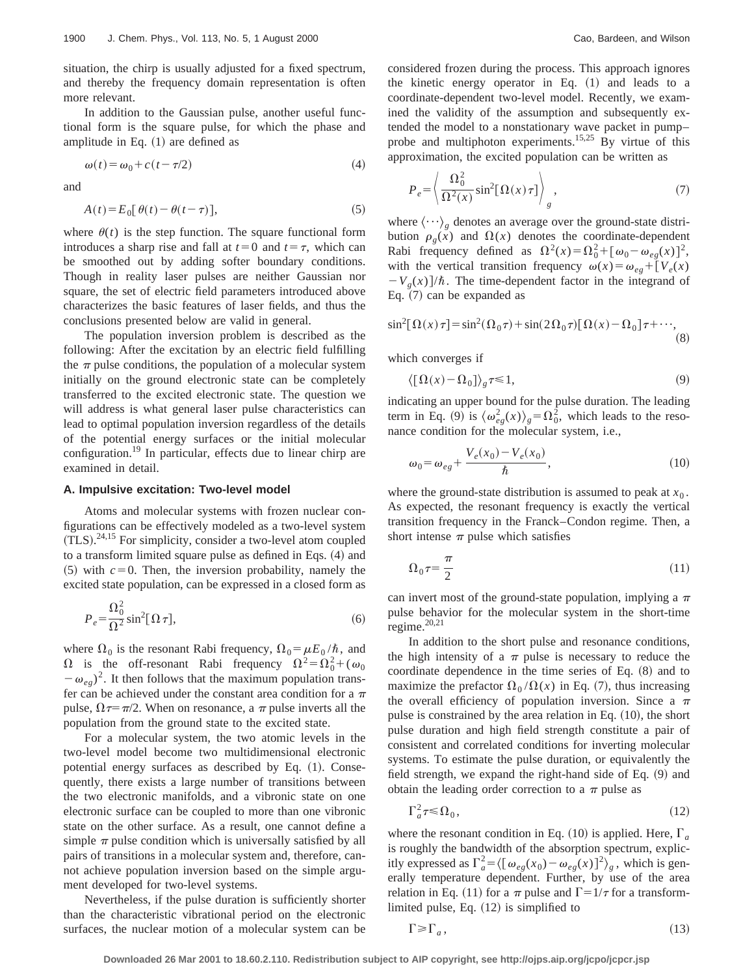situation, the chirp is usually adjusted for a fixed spectrum, and thereby the frequency domain representation is often more relevant.

In addition to the Gaussian pulse, another useful functional form is the square pulse, for which the phase and amplitude in Eq.  $(1)$  are defined as

$$
\omega(t) = \omega_0 + c(t - \tau/2) \tag{4}
$$

and

$$
A(t) = E_0[\theta(t) - \theta(t - \tau)],\tag{5}
$$

where  $\theta(t)$  is the step function. The square functional form introduces a sharp rise and fall at  $t=0$  and  $t=\tau$ , which can be smoothed out by adding softer boundary conditions. Though in reality laser pulses are neither Gaussian nor square, the set of electric field parameters introduced above characterizes the basic features of laser fields, and thus the conclusions presented below are valid in general.

The population inversion problem is described as the following: After the excitation by an electric field fulfilling the  $\pi$  pulse conditions, the population of a molecular system initially on the ground electronic state can be completely transferred to the excited electronic state. The question we will address is what general laser pulse characteristics can lead to optimal population inversion regardless of the details of the potential energy surfaces or the initial molecular configuration.19 In particular, effects due to linear chirp are examined in detail.

#### **A. Impulsive excitation: Two-level model**

Atoms and molecular systems with frozen nuclear configurations can be effectively modeled as a two-level system  $(TLS)$ .<sup>24,15</sup> For simplicity, consider a two-level atom coupled to a transform limited square pulse as defined in Eqs.  $(4)$  and  $(5)$  with  $c=0$ . Then, the inversion probability, namely the excited state population, can be expressed in a closed form as

$$
P_e = \frac{\Omega_0^2}{\Omega^2} \sin^2[\Omega \tau],\tag{6}
$$

where  $\Omega_0$  is the resonant Rabi frequency,  $\Omega_0 = \mu E_0 / \hbar$ , and  $\Omega$  is the off-resonant Rabi frequency  $\Omega^2 = \Omega_0^2 + (\omega_0)$  $(-\omega_{\rho\rho})^2$ . It then follows that the maximum population transfer can be achieved under the constant area condition for a  $\pi$ pulse,  $\Omega \tau = \pi/2$ . When on resonance, a  $\pi$  pulse inverts all the population from the ground state to the excited state.

For a molecular system, the two atomic levels in the two-level model become two multidimensional electronic potential energy surfaces as described by Eq.  $(1)$ . Consequently, there exists a large number of transitions between the two electronic manifolds, and a vibronic state on one electronic surface can be coupled to more than one vibronic state on the other surface. As a result, one cannot define a simple  $\pi$  pulse condition which is universally satisfied by all pairs of transitions in a molecular system and, therefore, cannot achieve population inversion based on the simple argument developed for two-level systems.

Nevertheless, if the pulse duration is sufficiently shorter than the characteristic vibrational period on the electronic surfaces, the nuclear motion of a molecular system can be considered frozen during the process. This approach ignores the kinetic energy operator in Eq.  $(1)$  and leads to a coordinate-dependent two-level model. Recently, we examined the validity of the assumption and subsequently extended the model to a nonstationary wave packet in pump– probe and multiphoton experiments.<sup>15,25</sup> By virtue of this approximation, the excited population can be written as

$$
P_e = \left\langle \frac{\Omega_0^2}{\Omega^2(x)} \sin^2[\Omega(x)\tau] \right\rangle_g, \tag{7}
$$

where  $\langle \cdots \rangle_g$  denotes an average over the ground-state distribution  $\rho_g(x)$  and  $\Omega(x)$  denotes the coordinate-dependent Rabi frequency defined as  $\Omega^2(x) = \Omega_0^2 + [\omega_0 - \omega_{eg}(x)]^2$ , with the vertical transition frequency  $\omega(x) = \omega_{eg} + [V_e(x)]$  $-V_\varphi(x)/\hbar$ . The time-dependent factor in the integrand of Eq.  $(7)$  can be expanded as

$$
\sin^2[\Omega(x)\tau] = \sin^2(\Omega_0\tau) + \sin(2\Omega_0\tau)[\Omega(x) - \Omega_0]\tau + \cdots,
$$
\n(8)

which converges if

$$
\langle [\Omega(x) - \Omega_0] \rangle_g \tau \le 1,\tag{9}
$$

indicating an upper bound for the pulse duration. The leading term in Eq. (9) is  $\langle \omega_{eg}^2(x) \rangle_g = \Omega_0^2$ , which leads to the resonance condition for the molecular system, i.e.,

$$
\omega_0 = \omega_{eg} + \frac{V_e(x_0) - V_e(x_0)}{\hbar},\tag{10}
$$

where the ground-state distribution is assumed to peak at  $x_0$ . As expected, the resonant frequency is exactly the vertical transition frequency in the Franck–Condon regime. Then, a short intense  $\pi$  pulse which satisfies

$$
\Omega_0 \tau = \frac{\pi}{2} \tag{11}
$$

can invert most of the ground-state population, implying a  $\pi$ pulse behavior for the molecular system in the short-time regime.<sup>20,21</sup>

In addition to the short pulse and resonance conditions, the high intensity of a  $\pi$  pulse is necessary to reduce the coordinate dependence in the time series of Eq.  $(8)$  and to maximize the prefactor  $\Omega_0 / \Omega(x)$  in Eq. (7), thus increasing the overall efficiency of population inversion. Since a  $\pi$ pulse is constrained by the area relation in Eq.  $(10)$ , the short pulse duration and high field strength constitute a pair of consistent and correlated conditions for inverting molecular systems. To estimate the pulse duration, or equivalently the field strength, we expand the right-hand side of Eq.  $(9)$  and obtain the leading order correction to a  $\pi$  pulse as

$$
\Gamma_a^2 \tau \le \Omega_0,\tag{12}
$$

where the resonant condition in Eq.  $(10)$  is applied. Here,  $\Gamma_a$ is roughly the bandwidth of the absorption spectrum, explicitly expressed as  $\Gamma_a^2 = \langle [\omega_{eg}(x_0) - \omega_{eg}(x)]^2 \rangle_g$ , which is generally temperature dependent. Further, by use of the area relation in Eq. (11) for a  $\pi$  pulse and  $\Gamma = 1/\tau$  for a transformlimited pulse, Eq.  $(12)$  is simplified to

$$
\Gamma \geq \Gamma_a,\tag{13}
$$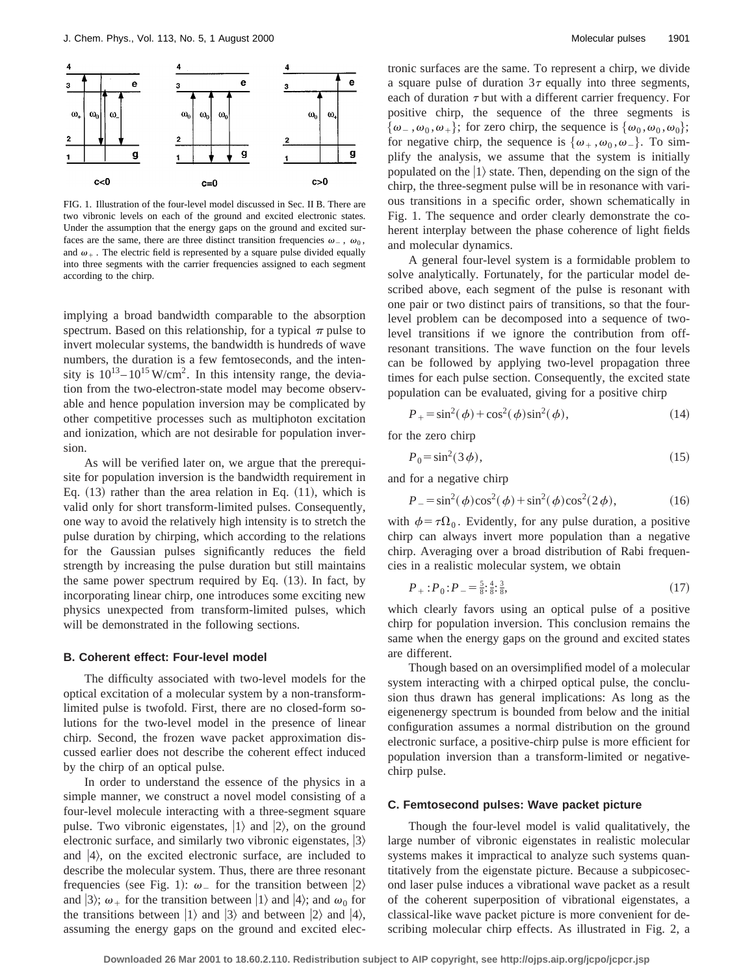

FIG. 1. Illustration of the four-level model discussed in Sec. II B. There are two vibronic levels on each of the ground and excited electronic states. Under the assumption that the energy gaps on the ground and excited surfaces are the same, there are three distinct transition frequencies  $\omega_{-}$ ,  $\omega_0$ , and  $\omega_+$ . The electric field is represented by a square pulse divided equally into three segments with the carrier frequencies assigned to each segment according to the chirp.

implying a broad bandwidth comparable to the absorption spectrum. Based on this relationship, for a typical  $\pi$  pulse to invert molecular systems, the bandwidth is hundreds of wave numbers, the duration is a few femtoseconds, and the intensity is  $10^{13} - 10^{15}$  W/cm<sup>2</sup>. In this intensity range, the deviation from the two-electron-state model may become observable and hence population inversion may be complicated by other competitive processes such as multiphoton excitation and ionization, which are not desirable for population inversion.

As will be verified later on, we argue that the prerequisite for population inversion is the bandwidth requirement in Eq.  $(13)$  rather than the area relation in Eq.  $(11)$ , which is valid only for short transform-limited pulses. Consequently, one way to avoid the relatively high intensity is to stretch the pulse duration by chirping, which according to the relations for the Gaussian pulses significantly reduces the field strength by increasing the pulse duration but still maintains the same power spectrum required by Eq.  $(13)$ . In fact, by incorporating linear chirp, one introduces some exciting new physics unexpected from transform-limited pulses, which will be demonstrated in the following sections.

# **B. Coherent effect: Four-level model**

The difficulty associated with two-level models for the optical excitation of a molecular system by a non-transformlimited pulse is twofold. First, there are no closed-form solutions for the two-level model in the presence of linear chirp. Second, the frozen wave packet approximation discussed earlier does not describe the coherent effect induced by the chirp of an optical pulse.

In order to understand the essence of the physics in a simple manner, we construct a novel model consisting of a four-level molecule interacting with a three-segment square pulse. Two vibronic eigenstates,  $|1\rangle$  and  $|2\rangle$ , on the ground electronic surface, and similarly two vibronic eigenstates,  $|3\rangle$ and  $|4\rangle$ , on the excited electronic surface, are included to describe the molecular system. Thus, there are three resonant frequencies (see Fig. 1):  $\omega$  for the transition between  $|2\rangle$ and  $|3\rangle$ ;  $\omega_+$  for the transition between  $|1\rangle$  and  $|4\rangle$ ; and  $\omega_0$  for the transitions between  $|1\rangle$  and  $|3\rangle$  and between  $|2\rangle$  and  $|4\rangle$ , assuming the energy gaps on the ground and excited electronic surfaces are the same. To represent a chirp, we divide a square pulse of duration  $3\tau$  equally into three segments, each of duration  $\tau$  but with a different carrier frequency. For positive chirp, the sequence of the three segments is  $\{\omega_-, \omega_0, \omega_+\}$ ; for zero chirp, the sequence is  $\{\omega_0, \omega_0, \omega_0\}$ ; for negative chirp, the sequence is  $\{\omega_+,\omega_0,\omega_-\}$ . To simplify the analysis, we assume that the system is initially populated on the  $|1\rangle$  state. Then, depending on the sign of the chirp, the three-segment pulse will be in resonance with various transitions in a specific order, shown schematically in Fig. 1. The sequence and order clearly demonstrate the coherent interplay between the phase coherence of light fields and molecular dynamics.

A general four-level system is a formidable problem to solve analytically. Fortunately, for the particular model described above, each segment of the pulse is resonant with one pair or two distinct pairs of transitions, so that the fourlevel problem can be decomposed into a sequence of twolevel transitions if we ignore the contribution from offresonant transitions. The wave function on the four levels can be followed by applying two-level propagation three times for each pulse section. Consequently, the excited state population can be evaluated, giving for a positive chirp

$$
P_{+} = \sin^{2}(\phi) + \cos^{2}(\phi)\sin^{2}(\phi), \qquad (14)
$$

for the zero chirp

$$
P_0 = \sin^2(3\,\phi),\tag{15}
$$

and for a negative chirp

$$
P_{-} = \sin^{2}(\phi)\cos^{2}(\phi) + \sin^{2}(\phi)\cos^{2}(2\phi),
$$
 (16)

with  $\phi = \tau \Omega_0$ . Evidently, for any pulse duration, a positive chirp can always invert more population than a negative chirp. Averaging over a broad distribution of Rabi frequencies in a realistic molecular system, we obtain

$$
P_{+}:P_{0}:P_{-}=\frac{5}{8}:\frac{4}{8}:\frac{3}{8},\tag{17}
$$

which clearly favors using an optical pulse of a positive chirp for population inversion. This conclusion remains the same when the energy gaps on the ground and excited states are different.

Though based on an oversimplified model of a molecular system interacting with a chirped optical pulse, the conclusion thus drawn has general implications: As long as the eigenenergy spectrum is bounded from below and the initial configuration assumes a normal distribution on the ground electronic surface, a positive-chirp pulse is more efficient for population inversion than a transform-limited or negativechirp pulse.

# **C. Femtosecond pulses: Wave packet picture**

Though the four-level model is valid qualitatively, the large number of vibronic eigenstates in realistic molecular systems makes it impractical to analyze such systems quantitatively from the eigenstate picture. Because a subpicosecond laser pulse induces a vibrational wave packet as a result of the coherent superposition of vibrational eigenstates, a classical-like wave packet picture is more convenient for describing molecular chirp effects. As illustrated in Fig. 2, a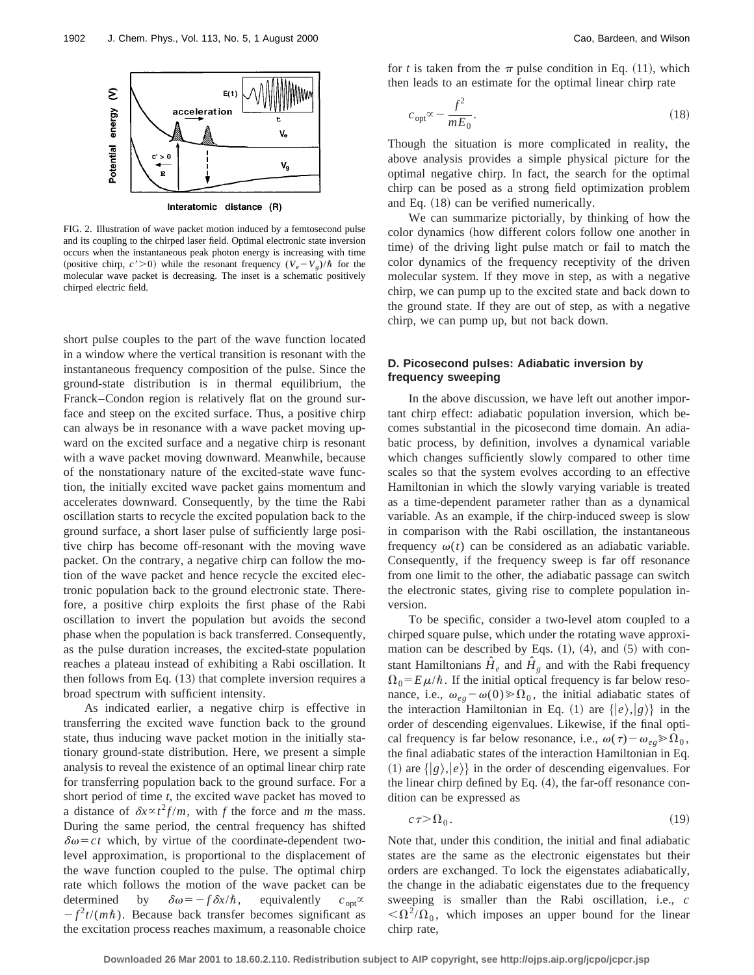

FIG. 2. Illustration of wave packet motion induced by a femtosecond pulse and its coupling to the chirped laser field. Optimal electronic state inversion occurs when the instantaneous peak photon energy is increasing with time (positive chirp,  $c' > 0$ ) while the resonant frequency  $(V_e - V_g)/\hbar$  for the molecular wave packet is decreasing. The inset is a schematic positively chirped electric field.

short pulse couples to the part of the wave function located in a window where the vertical transition is resonant with the instantaneous frequency composition of the pulse. Since the ground-state distribution is in thermal equilibrium, the Franck–Condon region is relatively flat on the ground surface and steep on the excited surface. Thus, a positive chirp can always be in resonance with a wave packet moving upward on the excited surface and a negative chirp is resonant with a wave packet moving downward. Meanwhile, because of the nonstationary nature of the excited-state wave function, the initially excited wave packet gains momentum and accelerates downward. Consequently, by the time the Rabi oscillation starts to recycle the excited population back to the ground surface, a short laser pulse of sufficiently large positive chirp has become off-resonant with the moving wave packet. On the contrary, a negative chirp can follow the motion of the wave packet and hence recycle the excited electronic population back to the ground electronic state. Therefore, a positive chirp exploits the first phase of the Rabi oscillation to invert the population but avoids the second phase when the population is back transferred. Consequently, as the pulse duration increases, the excited-state population reaches a plateau instead of exhibiting a Rabi oscillation. It then follows from Eq.  $(13)$  that complete inversion requires a broad spectrum with sufficient intensity.

As indicated earlier, a negative chirp is effective in transferring the excited wave function back to the ground state, thus inducing wave packet motion in the initially stationary ground-state distribution. Here, we present a simple analysis to reveal the existence of an optimal linear chirp rate for transferring population back to the ground surface. For a short period of time *t*, the excited wave packet has moved to a distance of  $\delta x \propto t^2 f/m$ , with *f* the force and *m* the mass. During the same period, the central frequency has shifted  $\delta\omega = ct$  which, by virtue of the coordinate-dependent twolevel approximation, is proportional to the displacement of the wave function coupled to the pulse. The optimal chirp rate which follows the motion of the wave packet can be determined by  $\delta \omega = -f \delta x / \hbar$ , equivalently  $c_{opt} \propto$  $-f^2t/(m\hbar)$ . Because back transfer becomes significant as the excitation process reaches maximum, a reasonable choice

for *t* is taken from the  $\pi$  pulse condition in Eq. (11), which then leads to an estimate for the optimal linear chirp rate

$$
c_{\text{opt}} \propto -\frac{f^2}{mE_0}.\tag{18}
$$

Though the situation is more complicated in reality, the above analysis provides a simple physical picture for the optimal negative chirp. In fact, the search for the optimal chirp can be posed as a strong field optimization problem and Eq.  $(18)$  can be verified numerically.

We can summarize pictorially, by thinking of how the color dynamics (how different colors follow one another in time) of the driving light pulse match or fail to match the color dynamics of the frequency receptivity of the driven molecular system. If they move in step, as with a negative chirp, we can pump up to the excited state and back down to the ground state. If they are out of step, as with a negative chirp, we can pump up, but not back down.

# **D. Picosecond pulses: Adiabatic inversion by frequency sweeping**

In the above discussion, we have left out another important chirp effect: adiabatic population inversion, which becomes substantial in the picosecond time domain. An adiabatic process, by definition, involves a dynamical variable which changes sufficiently slowly compared to other time scales so that the system evolves according to an effective Hamiltonian in which the slowly varying variable is treated as a time-dependent parameter rather than as a dynamical variable. As an example, if the chirp-induced sweep is slow in comparison with the Rabi oscillation, the instantaneous frequency  $\omega(t)$  can be considered as an adiabatic variable. Consequently, if the frequency sweep is far off resonance from one limit to the other, the adiabatic passage can switch the electronic states, giving rise to complete population inversion.

To be specific, consider a two-level atom coupled to a chirped square pulse, which under the rotating wave approximation can be described by Eqs.  $(1)$ ,  $(4)$ , and  $(5)$  with constant Hamiltonians  $\hat{H}_e$  and  $\hat{H}_g$  and with the Rabi frequency  $\Omega_0 = E\mu/\hbar$ . If the initial optical frequency is far below resonance, i.e.,  $\omega_{eg} - \omega(0) \ge \Omega_0$ , the initial adiabatic states of the interaction Hamiltonian in Eq. (1) are  $\{ |e\rangle, |g\rangle \}$  in the order of descending eigenvalues. Likewise, if the final optical frequency is far below resonance, i.e.,  $\omega(\tau) - \omega_{ee} \gg \Omega_0$ , the final adiabatic states of the interaction Hamiltonian in Eq.  $(1)$  are  $\{ |g\rangle, |e\rangle \}$  in the order of descending eigenvalues. For the linear chirp defined by Eq.  $(4)$ , the far-off resonance condition can be expressed as

$$
c\,\tau \geq \Omega_0. \tag{19}
$$

Note that, under this condition, the initial and final adiabatic states are the same as the electronic eigenstates but their orders are exchanged. To lock the eigenstates adiabatically, the change in the adiabatic eigenstates due to the frequency sweeping is smaller than the Rabi oscillation, i.e., *c*  $<\Omega^2/\Omega_0$ , which imposes an upper bound for the linear chirp rate,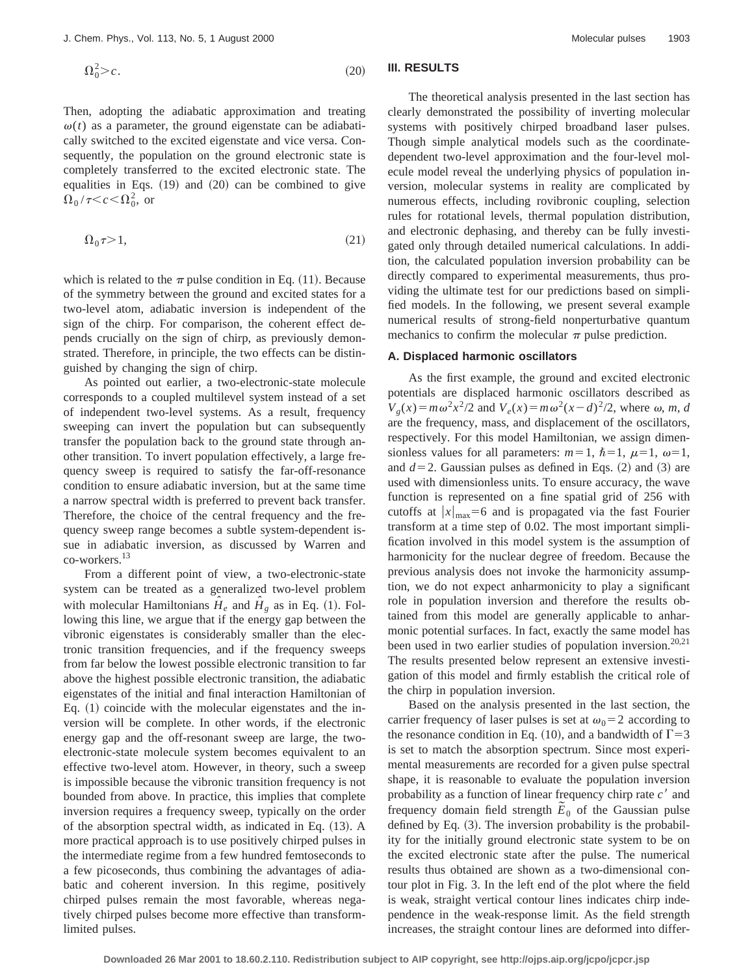$$
\Omega_0^2 > c. \tag{20}
$$

Then, adopting the adiabatic approximation and treating  $\omega(t)$  as a parameter, the ground eigenstate can be adiabatically switched to the excited eigenstate and vice versa. Consequently, the population on the ground electronic state is completely transferred to the excited electronic state. The equalities in Eqs.  $(19)$  and  $(20)$  can be combined to give  $\Omega_{0}$  /  $\tau$   $\lt$   $c$   $\lt$   $\Omega_{0}^{2}$ , or

$$
\Omega_0 \tau > 1,\tag{21}
$$

which is related to the  $\pi$  pulse condition in Eq. (11). Because of the symmetry between the ground and excited states for a two-level atom, adiabatic inversion is independent of the sign of the chirp. For comparison, the coherent effect depends crucially on the sign of chirp, as previously demonstrated. Therefore, in principle, the two effects can be distinguished by changing the sign of chirp.

As pointed out earlier, a two-electronic-state molecule corresponds to a coupled multilevel system instead of a set of independent two-level systems. As a result, frequency sweeping can invert the population but can subsequently transfer the population back to the ground state through another transition. To invert population effectively, a large frequency sweep is required to satisfy the far-off-resonance condition to ensure adiabatic inversion, but at the same time a narrow spectral width is preferred to prevent back transfer. Therefore, the choice of the central frequency and the frequency sweep range becomes a subtle system-dependent issue in adiabatic inversion, as discussed by Warren and co-workers.13

From a different point of view, a two-electronic-state system can be treated as a generalized two-level problem with molecular Hamiltonians  $H_e$  and  $H_g$  as in Eq. (1). Following this line, we argue that if the energy gap between the vibronic eigenstates is considerably smaller than the electronic transition frequencies, and if the frequency sweeps from far below the lowest possible electronic transition to far above the highest possible electronic transition, the adiabatic eigenstates of the initial and final interaction Hamiltonian of Eq.  $(1)$  coincide with the molecular eigenstates and the inversion will be complete. In other words, if the electronic energy gap and the off-resonant sweep are large, the twoelectronic-state molecule system becomes equivalent to an effective two-level atom. However, in theory, such a sweep is impossible because the vibronic transition frequency is not bounded from above. In practice, this implies that complete inversion requires a frequency sweep, typically on the order of the absorption spectral width, as indicated in Eq.  $(13)$ . A more practical approach is to use positively chirped pulses in the intermediate regime from a few hundred femtoseconds to a few picoseconds, thus combining the advantages of adiabatic and coherent inversion. In this regime, positively chirped pulses remain the most favorable, whereas negatively chirped pulses become more effective than transformlimited pulses.

#### **III. RESULTS**

The theoretical analysis presented in the last section has clearly demonstrated the possibility of inverting molecular systems with positively chirped broadband laser pulses. Though simple analytical models such as the coordinatedependent two-level approximation and the four-level molecule model reveal the underlying physics of population inversion, molecular systems in reality are complicated by numerous effects, including rovibronic coupling, selection rules for rotational levels, thermal population distribution, and electronic dephasing, and thereby can be fully investigated only through detailed numerical calculations. In addition, the calculated population inversion probability can be directly compared to experimental measurements, thus providing the ultimate test for our predictions based on simplified models. In the following, we present several example numerical results of strong-field nonperturbative quantum mechanics to confirm the molecular  $\pi$  pulse prediction.

#### **A. Displaced harmonic oscillators**

As the first example, the ground and excited electronic potentials are displaced harmonic oscillators described as  $V_e(x) = m\omega^2 x^2/2$  and  $V_e(x) = m\omega^2(x-d)^2/2$ , where  $\omega$ , *m*, *d* are the frequency, mass, and displacement of the oscillators, respectively. For this model Hamiltonian, we assign dimensionless values for all parameters:  $m=1, \hbar=1, \mu=1, \omega=1,$ and  $d=2$ . Gaussian pulses as defined in Eqs.  $(2)$  and  $(3)$  are used with dimensionless units. To ensure accuracy, the wave function is represented on a fine spatial grid of 256 with cutoffs at  $|x|_{\text{max}}=6$  and is propagated via the fast Fourier transform at a time step of 0.02. The most important simplification involved in this model system is the assumption of harmonicity for the nuclear degree of freedom. Because the previous analysis does not invoke the harmonicity assumption, we do not expect anharmonicity to play a significant role in population inversion and therefore the results obtained from this model are generally applicable to anharmonic potential surfaces. In fact, exactly the same model has been used in two earlier studies of population inversion.<sup>20,21</sup> The results presented below represent an extensive investigation of this model and firmly establish the critical role of the chirp in population inversion.

Based on the analysis presented in the last section, the carrier frequency of laser pulses is set at  $\omega_0 = 2$  according to the resonance condition in Eq. (10), and a bandwidth of  $\Gamma$ =3 is set to match the absorption spectrum. Since most experimental measurements are recorded for a given pulse spectral shape, it is reasonable to evaluate the population inversion probability as a function of linear frequency chirp rate *c'* and frequency domain field strength  $\tilde{E}_0$  of the Gaussian pulse defined by Eq.  $(3)$ . The inversion probability is the probability for the initially ground electronic state system to be on the excited electronic state after the pulse. The numerical results thus obtained are shown as a two-dimensional contour plot in Fig. 3. In the left end of the plot where the field is weak, straight vertical contour lines indicates chirp independence in the weak-response limit. As the field strength increases, the straight contour lines are deformed into differ-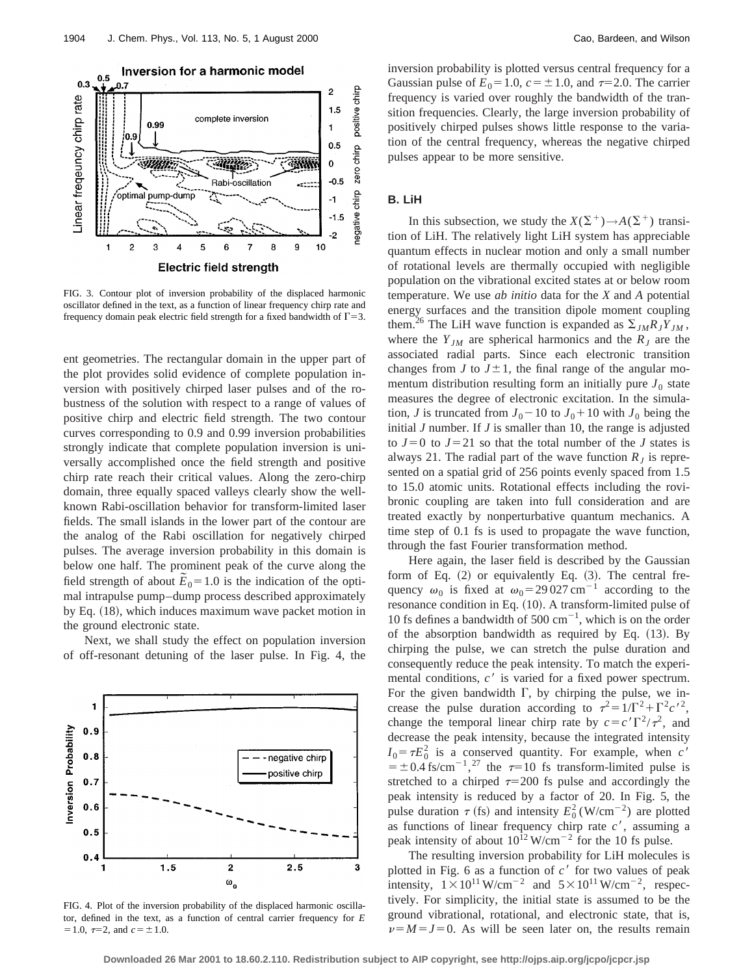

FIG. 3. Contour plot of inversion probability of the displaced harmonic oscillator defined in the text, as a function of linear frequency chirp rate and frequency domain peak electric field strength for a fixed bandwidth of  $\Gamma$ =3.

ent geometries. The rectangular domain in the upper part of the plot provides solid evidence of complete population inversion with positively chirped laser pulses and of the robustness of the solution with respect to a range of values of positive chirp and electric field strength. The two contour curves corresponding to 0.9 and 0.99 inversion probabilities strongly indicate that complete population inversion is universally accomplished once the field strength and positive chirp rate reach their critical values. Along the zero-chirp domain, three equally spaced valleys clearly show the wellknown Rabi-oscillation behavior for transform-limited laser fields. The small islands in the lower part of the contour are the analog of the Rabi oscillation for negatively chirped pulses. The average inversion probability in this domain is below one half. The prominent peak of the curve along the field strength of about  $\tilde{E}_0 = 1.0$  is the indication of the optimal intrapulse pump–dump process described approximately by Eq.  $(18)$ , which induces maximum wave packet motion in the ground electronic state.

Next, we shall study the effect on population inversion of off-resonant detuning of the laser pulse. In Fig. 4, the



FIG. 4. Plot of the inversion probability of the displaced harmonic oscillator, defined in the text, as a function of central carrier frequency for *E*  $=1.0, \tau=2, \text{ and } c=\pm1.0.$ 

inversion probability is plotted versus central frequency for a Gaussian pulse of  $E_0 = 1.0$ ,  $c = \pm 1.0$ , and  $\tau = 2.0$ . The carrier frequency is varied over roughly the bandwidth of the transition frequencies. Clearly, the large inversion probability of positively chirped pulses shows little response to the variation of the central frequency, whereas the negative chirped pulses appear to be more sensitive.

#### **B. LiH**

In this subsection, we study the  $X(\Sigma^+) \rightarrow A(\Sigma^+)$  transition of LiH. The relatively light LiH system has appreciable quantum effects in nuclear motion and only a small number of rotational levels are thermally occupied with negligible population on the vibrational excited states at or below room temperature. We use *ab initio* data for the *X* and *A* potential energy surfaces and the transition dipole moment coupling them.<sup>26</sup> The LiH wave function is expanded as  $\sum_{JM} R_J Y_{JM}$ , where the  $Y_{JM}$  are spherical harmonics and the  $R_J$  are the associated radial parts. Since each electronic transition changes from *J* to  $J \pm 1$ , the final range of the angular momentum distribution resulting form an initially pure  $J_0$  state measures the degree of electronic excitation. In the simulation, *J* is truncated from  $J_0$  – 10 to  $J_0$  + 10 with  $J_0$  being the initial *J* number. If *J* is smaller than 10, the range is adjusted to  $J=0$  to  $J=21$  so that the total number of the *J* states is always 21. The radial part of the wave function  $R<sub>J</sub>$  is represented on a spatial grid of 256 points evenly spaced from 1.5 to 15.0 atomic units. Rotational effects including the rovibronic coupling are taken into full consideration and are treated exactly by nonperturbative quantum mechanics. A time step of 0.1 fs is used to propagate the wave function, through the fast Fourier transformation method.

Here again, the laser field is described by the Gaussian form of Eq.  $(2)$  or equivalently Eq.  $(3)$ . The central frequency  $\omega_0$  is fixed at  $\omega_0 = 29.027$  cm<sup>-1</sup> according to the resonance condition in Eq. (10). A transform-limited pulse of 10 fs defines a bandwidth of 500  $\text{cm}^{-1}$ , which is on the order of the absorption bandwidth as required by Eq.  $(13)$ . By chirping the pulse, we can stretch the pulse duration and consequently reduce the peak intensity. To match the experimental conditions, *c'* is varied for a fixed power spectrum. For the given bandwidth  $\Gamma$ , by chirping the pulse, we increase the pulse duration according to  $\tau^2 = 1/\Gamma^2 + \Gamma^2 c'^2$ , change the temporal linear chirp rate by  $c = c' \Gamma^2 / \tau^2$ , and decrease the peak intensity, because the integrated intensity  $I_0 = \tau E_0^2$  is a conserved quantity. For example, when *c'*  $= \pm 0.4$  fs/cm<sup>-1</sup>,<sup>27</sup> the  $\tau$ =10 fs transform-limited pulse is stretched to a chirped  $\tau=200$  fs pulse and accordingly the peak intensity is reduced by a factor of 20. In Fig. 5, the pulse duration  $\tau$  (fs) and intensity  $E_0^2$  (W/cm<sup>-2</sup>) are plotted as functions of linear frequency chirp rate  $c'$ , assuming a peak intensity of about  $10^{12}$  W/cm<sup>-2</sup> for the 10 fs pulse.

The resulting inversion probability for LiH molecules is plotted in Fig. 6 as a function of  $c<sup>7</sup>$  for two values of peak intensity,  $1 \times 10^{11}$  W/cm<sup>-2</sup> and  $5 \times 10^{11}$  W/cm<sup>-2</sup>, respectively. For simplicity, the initial state is assumed to be the ground vibrational, rotational, and electronic state, that is,  $\nu=M=J=0$ . As will be seen later on, the results remain

**Downloaded 26 Mar 2001 to 18.60.2.110. Redistribution subject to AIP copyright, see http://ojps.aip.org/jcpo/jcpcr.jsp**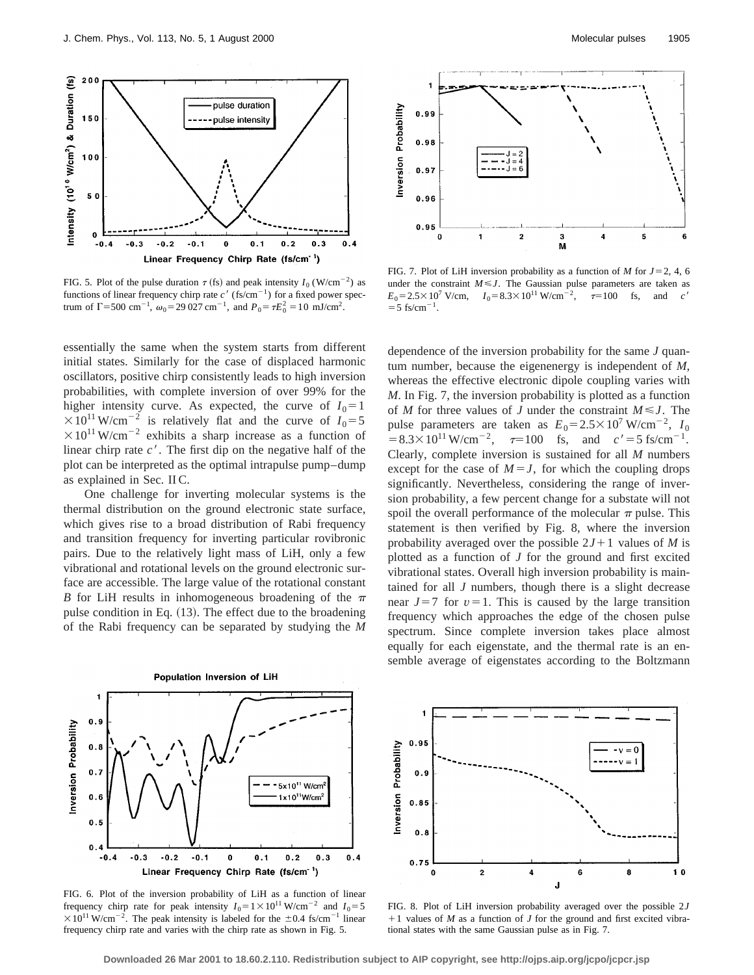



FIG. 5. Plot of the pulse duration  $\tau$  (fs) and peak intensity *I*<sub>0</sub> (W/cm<sup>-2</sup>) as functions of linear frequency chirp rate  $c'$  (fs/cm<sup>-1</sup>) for a fixed power spectrum of  $\Gamma$ =500 cm<sup>-1</sup>,  $\omega_0$ =29 027 cm<sup>-1</sup>, and  $P_0 = \tau E_0^2 = 10$  mJ/cm<sup>2</sup>.

essentially the same when the system starts from different initial states. Similarly for the case of displaced harmonic oscillators, positive chirp consistently leads to high inversion probabilities, with complete inversion of over 99% for the higher intensity curve. As expected, the curve of  $I_0=1$  $\times$ 10<sup>11</sup> W/cm<sup>-2</sup> is relatively flat and the curve of *I*<sub>0</sub>=5  $\times 10^{11}$  W/cm<sup>-2</sup> exhibits a sharp increase as a function of linear chirp rate  $c'$ . The first dip on the negative half of the plot can be interpreted as the optimal intrapulse pump–dump as explained in Sec. II C.

One challenge for inverting molecular systems is the thermal distribution on the ground electronic state surface, which gives rise to a broad distribution of Rabi frequency and transition frequency for inverting particular rovibronic pairs. Due to the relatively light mass of LiH, only a few vibrational and rotational levels on the ground electronic surface are accessible. The large value of the rotational constant *B* for LiH results in inhomogeneous broadening of the  $\pi$ pulse condition in Eq.  $(13)$ . The effect due to the broadening of the Rabi frequency can be separated by studying the *M*



FIG. 7. Plot of LiH inversion probability as a function of *M* for  $J=2, 4, 6$ under the constraint  $M \le J$ . The Gaussian pulse parameters are taken as  $E_0 = 2.5 \times 10^7$  V/cm,  $I_0 = 8.3 \times 10^{11}$  W/cm<sup>-2</sup>,  $\tau = 100$  fs, and *c*  $=$  5 fs/cm<sup>-1</sup>.

dependence of the inversion probability for the same *J* quantum number, because the eigenenergy is independent of *M*, whereas the effective electronic dipole coupling varies with *M*. In Fig. 7, the inversion probability is plotted as a function of *M* for three values of *J* under the constraint *M*<*J*. The pulse parameters are taken as  $E_0 = 2.5 \times 10^7 \text{ W/cm}^{-2}$ ,  $I_0$  $=8.3\times10^{11} \,\mathrm{W/cm^{-2}}$ ,  $\tau=100$  fs, and  $c'=5 \,\mathrm{fs/cm^{-1}}$ . Clearly, complete inversion is sustained for all *M* numbers except for the case of  $M=J$ , for which the coupling drops significantly. Nevertheless, considering the range of inversion probability, a few percent change for a substate will not spoil the overall performance of the molecular  $\pi$  pulse. This statement is then verified by Fig. 8, where the inversion probability averaged over the possible  $2J+1$  values of *M* is plotted as a function of *J* for the ground and first excited vibrational states. Overall high inversion probability is maintained for all *J* numbers, though there is a slight decrease near  $J=7$  for  $v=1$ . This is caused by the large transition frequency which approaches the edge of the chosen pulse spectrum. Since complete inversion takes place almost equally for each eigenstate, and the thermal rate is an ensemble average of eigenstates according to the Boltzmann



FIG. 6. Plot of the inversion probability of LiH as a function of linear frequency chirp rate for peak intensity  $I_0 = 1 \times 10^{11} \text{ W/cm}^{-2}$  and  $I_0 = 5$  $\times 10^{11}$  W/cm<sup>-2</sup>. The peak intensity is labeled for the  $\pm 0.4$  fs/cm<sup>-1</sup> linear frequency chirp rate and varies with the chirp rate as shown in Fig. 5.



FIG. 8. Plot of LiH inversion probability averaged over the possible 2*J*  $+1$  values of *M* as a function of *J* for the ground and first excited vibrational states with the same Gaussian pulse as in Fig. 7.

**Downloaded 26 Mar 2001 to 18.60.2.110. Redistribution subject to AIP copyright, see http://ojps.aip.org/jcpo/jcpcr.jsp**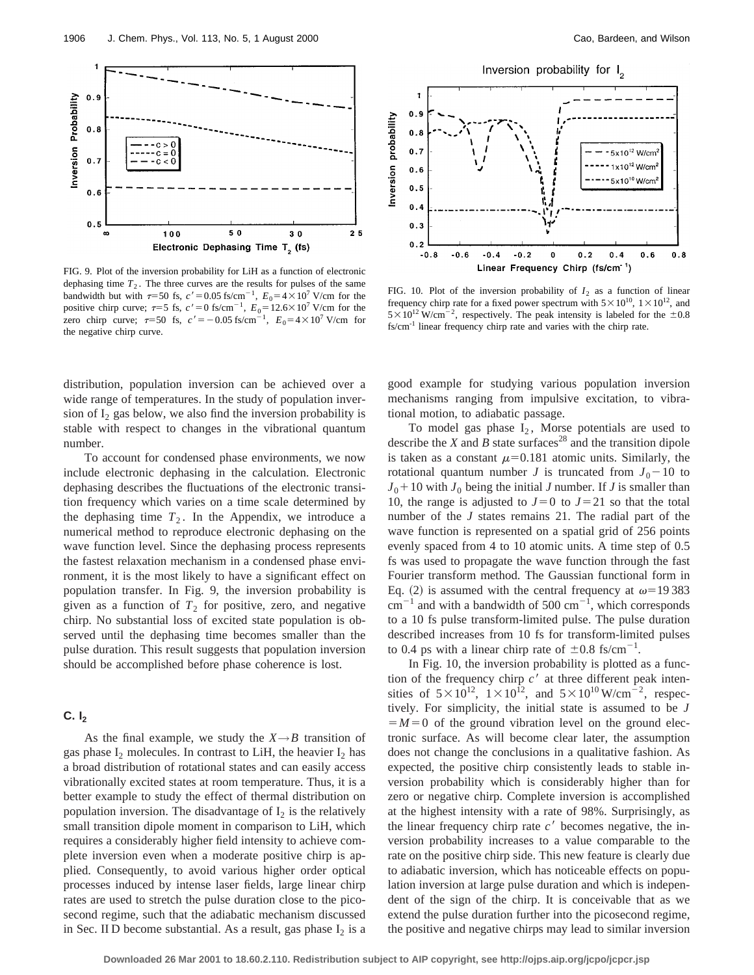

FIG. 9. Plot of the inversion probability for LiH as a function of electronic dephasing time  $T_2$ . The three curves are the results for pulses of the same bandwidth but with  $\tau$ =50 fs,  $c'$ =0.05 fs/cm<sup>-1</sup>,  $E_0$ =4×10<sup>7</sup> V/cm for the positive chirp curve;  $\tau=5$  fs,  $c' = 0$  fs/cm<sup>-1</sup>,  $E_0 = 12.6 \times 10^7$  V/cm for the zero chirp curve;  $\tau=50$  fs,  $c'=-0.05$  fs/cm<sup>-1</sup>,  $E_0=4\times10^7$  V/cm for the negative chirp curve.

distribution, population inversion can be achieved over a wide range of temperatures. In the study of population inversion of  $I_2$  gas below, we also find the inversion probability is stable with respect to changes in the vibrational quantum number.

To account for condensed phase environments, we now include electronic dephasing in the calculation. Electronic dephasing describes the fluctuations of the electronic transition frequency which varies on a time scale determined by the dephasing time  $T_2$ . In the Appendix, we introduce a numerical method to reproduce electronic dephasing on the wave function level. Since the dephasing process represents the fastest relaxation mechanism in a condensed phase environment, it is the most likely to have a significant effect on population transfer. In Fig. 9, the inversion probability is given as a function of  $T_2$  for positive, zero, and negative chirp. No substantial loss of excited state population is observed until the dephasing time becomes smaller than the pulse duration. This result suggests that population inversion should be accomplished before phase coherence is lost.

# **C. I2**

As the final example, we study the  $X \rightarrow B$  transition of gas phase  $I_2$  molecules. In contrast to LiH, the heavier  $I_2$  has a broad distribution of rotational states and can easily access vibrationally excited states at room temperature. Thus, it is a better example to study the effect of thermal distribution on population inversion. The disadvantage of  $I_2$  is the relatively small transition dipole moment in comparison to LiH, which requires a considerably higher field intensity to achieve complete inversion even when a moderate positive chirp is applied. Consequently, to avoid various higher order optical processes induced by intense laser fields, large linear chirp rates are used to stretch the pulse duration close to the picosecond regime, such that the adiabatic mechanism discussed in Sec. II D become substantial. As a result, gas phase  $I_2$  is a





FIG. 10. Plot of the inversion probability of  $I_2$  as a function of linear frequency chirp rate for a fixed power spectrum with  $5 \times 10^{10}$ ,  $1 \times 10^{12}$ , and  $5 \times 10^{12}$  W/cm<sup>-2</sup>, respectively. The peak intensity is labeled for the  $\pm 0.8$ fs/cm-1 linear frequency chirp rate and varies with the chirp rate.

good example for studying various population inversion mechanisms ranging from impulsive excitation, to vibrational motion, to adiabatic passage.

To model gas phase  $I_2$ , Morse potentials are used to describe the *X* and *B* state surfaces<sup>28</sup> and the transition dipole is taken as a constant  $\mu$ =0.181 atomic units. Similarly, the rotational quantum number *J* is truncated from  $J_0$  – 10 to  $J_0$ +10 with  $J_0$  being the initial *J* number. If *J* is smaller than 10, the range is adjusted to  $J=0$  to  $J=21$  so that the total number of the *J* states remains 21. The radial part of the wave function is represented on a spatial grid of 256 points evenly spaced from 4 to 10 atomic units. A time step of 0.5 fs was used to propagate the wave function through the fast Fourier transform method. The Gaussian functional form in Eq. (2) is assumed with the central frequency at  $\omega$ =19383  $\text{cm}^{-1}$  and with a bandwidth of 500  $\text{cm}^{-1}$ , which corresponds to a 10 fs pulse transform-limited pulse. The pulse duration described increases from 10 fs for transform-limited pulses to 0.4 ps with a linear chirp rate of  $\pm$ 0.8 fs/cm<sup>-1</sup>.

In Fig. 10, the inversion probability is plotted as a function of the frequency chirp  $c<sup>3</sup>$  at three different peak intensities of  $5 \times 10^{12}$ ,  $1 \times 10^{12}$ , and  $5 \times 10^{10}$  W/cm<sup>-2</sup>, respectively. For simplicity, the initial state is assumed to be *J*  $=M=0$  of the ground vibration level on the ground electronic surface. As will become clear later, the assumption does not change the conclusions in a qualitative fashion. As expected, the positive chirp consistently leads to stable inversion probability which is considerably higher than for zero or negative chirp. Complete inversion is accomplished at the highest intensity with a rate of 98%. Surprisingly, as the linear frequency chirp rate  $c<sup>8</sup>$  becomes negative, the inversion probability increases to a value comparable to the rate on the positive chirp side. This new feature is clearly due to adiabatic inversion, which has noticeable effects on population inversion at large pulse duration and which is independent of the sign of the chirp. It is conceivable that as we extend the pulse duration further into the picosecond regime, the positive and negative chirps may lead to similar inversion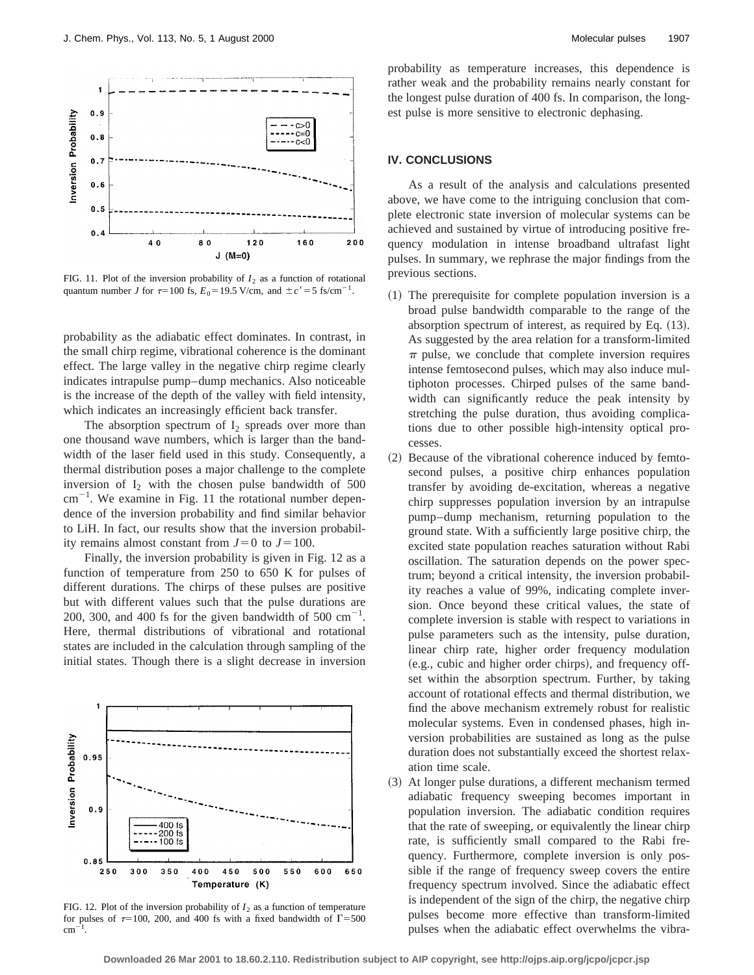

FIG. 11. Plot of the inversion probability of  $I_2$  as a function of rotational quantum number *J* for  $\tau=100$  fs,  $E_0=19.5$  V/cm, and  $\pm c' = 5$  fs/cm<sup>-1</sup>.

probability as the adiabatic effect dominates. In contrast, in the small chirp regime, vibrational coherence is the dominant effect. The large valley in the negative chirp regime clearly indicates intrapulse pump–dump mechanics. Also noticeable is the increase of the depth of the valley with field intensity, which indicates an increasingly efficient back transfer.

The absorption spectrum of  $I_2$  spreads over more than one thousand wave numbers, which is larger than the bandwidth of the laser field used in this study. Consequently, a thermal distribution poses a major challenge to the complete inversion of  $I_2$  with the chosen pulse bandwidth of 500  $\text{cm}^{-1}$ . We examine in Fig. 11 the rotational number dependence of the inversion probability and find similar behavior to LiH. In fact, our results show that the inversion probability remains almost constant from  $J=0$  to  $J=100$ .

Finally, the inversion probability is given in Fig. 12 as a function of temperature from 250 to 650 K for pulses of different durations. The chirps of these pulses are positive but with different values such that the pulse durations are 200, 300, and 400 fs for the given bandwidth of 500  $\text{cm}^{-1}$ . Here, thermal distributions of vibrational and rotational states are included in the calculation through sampling of the initial states. Though there is a slight decrease in inversion



FIG. 12. Plot of the inversion probability of  $I_2$  as a function of temperature for pulses of  $\tau=100$ , 200, and 400 fs with a fixed bandwidth of  $\Gamma=500$ cm<sup>-</sup> .

probability as temperature increases, this dependence is rather weak and the probability remains nearly constant for the longest pulse duration of 400 fs. In comparison, the longest pulse is more sensitive to electronic dephasing.

#### **IV. CONCLUSIONS**

As a result of the analysis and calculations presented above, we have come to the intriguing conclusion that complete electronic state inversion of molecular systems can be achieved and sustained by virtue of introducing positive frequency modulation in intense broadband ultrafast light pulses. In summary, we rephrase the major findings from the previous sections.

- $(1)$  The prerequisite for complete population inversion is a broad pulse bandwidth comparable to the range of the absorption spectrum of interest, as required by Eq.  $(13)$ . As suggested by the area relation for a transform-limited  $\pi$  pulse, we conclude that complete inversion requires intense femtosecond pulses, which may also induce multiphoton processes. Chirped pulses of the same bandwidth can significantly reduce the peak intensity by stretching the pulse duration, thus avoiding complications due to other possible high-intensity optical processes.
- $(2)$  Because of the vibrational coherence induced by femtosecond pulses, a positive chirp enhances population transfer by avoiding de-excitation, whereas a negative chirp suppresses population inversion by an intrapulse pump–dump mechanism, returning population to the ground state. With a sufficiently large positive chirp, the excited state population reaches saturation without Rabi oscillation. The saturation depends on the power spectrum; beyond a critical intensity, the inversion probability reaches a value of 99%, indicating complete inversion. Once beyond these critical values, the state of complete inversion is stable with respect to variations in pulse parameters such as the intensity, pulse duration, linear chirp rate, higher order frequency modulation (e.g., cubic and higher order chirps), and frequency offset within the absorption spectrum. Further, by taking account of rotational effects and thermal distribution, we find the above mechanism extremely robust for realistic molecular systems. Even in condensed phases, high inversion probabilities are sustained as long as the pulse duration does not substantially exceed the shortest relaxation time scale.
- ~3! At longer pulse durations, a different mechanism termed adiabatic frequency sweeping becomes important in population inversion. The adiabatic condition requires that the rate of sweeping, or equivalently the linear chirp rate, is sufficiently small compared to the Rabi frequency. Furthermore, complete inversion is only possible if the range of frequency sweep covers the entire frequency spectrum involved. Since the adiabatic effect is independent of the sign of the chirp, the negative chirp pulses become more effective than transform-limited pulses when the adiabatic effect overwhelms the vibra-

**Downloaded 26 Mar 2001 to 18.60.2.110. Redistribution subject to AIP copyright, see http://ojps.aip.org/jcpo/jcpcr.jsp**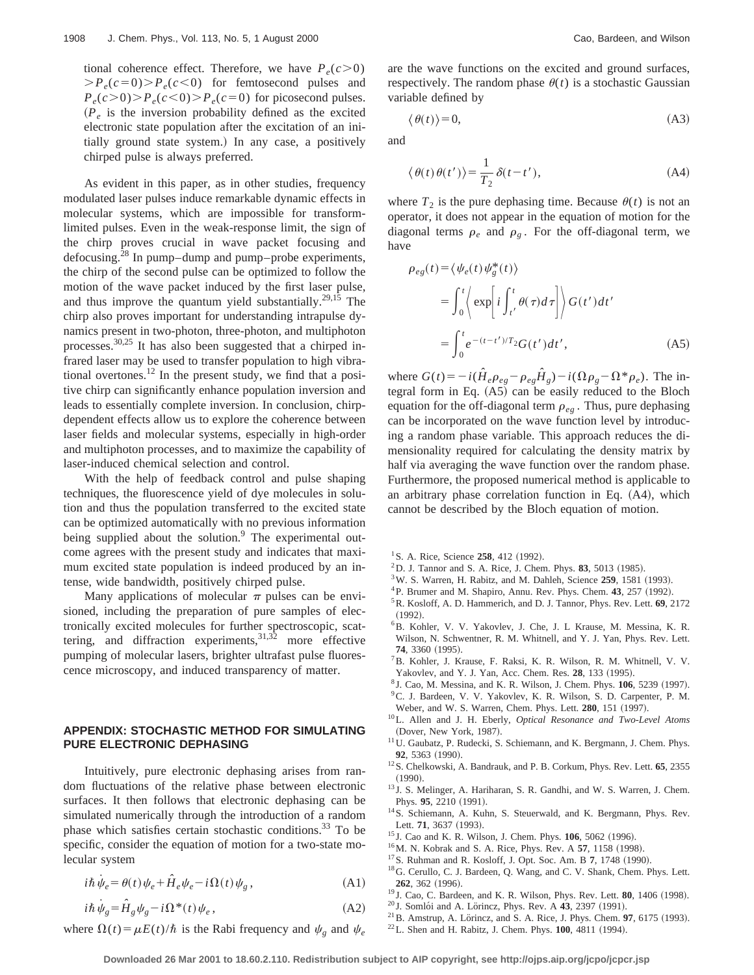tional coherence effect. Therefore, we have  $P_e(c>0)$  $\geq P_e(c=0)$  $\geq P_e(c<0)$  for femtosecond pulses and  $P_e(c>0)$ .  $P_e(c<0)$ .  $P_e(c=0)$  for picosecond pulses.  $(P_e)$  is the inversion probability defined as the excited electronic state population after the excitation of an initially ground state system.) In any case, a positively chirped pulse is always preferred.

As evident in this paper, as in other studies, frequency modulated laser pulses induce remarkable dynamic effects in molecular systems, which are impossible for transformlimited pulses. Even in the weak-response limit, the sign of the chirp proves crucial in wave packet focusing and defocusing.28 In pump–dump and pump–probe experiments, the chirp of the second pulse can be optimized to follow the motion of the wave packet induced by the first laser pulse, and thus improve the quantum yield substantially.<sup>29,15</sup> The chirp also proves important for understanding intrapulse dynamics present in two-photon, three-photon, and multiphoton processes.30,25 It has also been suggested that a chirped infrared laser may be used to transfer population to high vibrational overtones.<sup>12</sup> In the present study, we find that a positive chirp can significantly enhance population inversion and leads to essentially complete inversion. In conclusion, chirpdependent effects allow us to explore the coherence between laser fields and molecular systems, especially in high-order and multiphoton processes, and to maximize the capability of laser-induced chemical selection and control.

With the help of feedback control and pulse shaping techniques, the fluorescence yield of dye molecules in solution and thus the population transferred to the excited state can be optimized automatically with no previous information being supplied about the solution. $9$  The experimental outcome agrees with the present study and indicates that maximum excited state population is indeed produced by an intense, wide bandwidth, positively chirped pulse.

Many applications of molecular  $\pi$  pulses can be envisioned, including the preparation of pure samples of electronically excited molecules for further spectroscopic, scattering, and diffraction experiments,  $31,32$  more effective pumping of molecular lasers, brighter ultrafast pulse fluorescence microscopy, and induced transparency of matter.

# **APPENDIX: STOCHASTIC METHOD FOR SIMULATING PURE ELECTRONIC DEPHASING**

Intuitively, pure electronic dephasing arises from random fluctuations of the relative phase between electronic surfaces. It then follows that electronic dephasing can be simulated numerically through the introduction of a random phase which satisfies certain stochastic conditions. $33$  To be specific, consider the equation of motion for a two-state molecular system

$$
i\hbar \dot{\psi}_e = \theta(t)\psi_e + \hat{H}_e \psi_e - i\Omega(t)\psi_g, \qquad (A1)
$$

$$
i\hbar \dot{\psi}_g = \hat{H}_g \psi_g - i\Omega^*(t)\psi_e, \qquad (A2)
$$

where  $\Omega(t) = \mu E(t)/\hbar$  is the Rabi frequency and  $\psi_g$  and  $\psi_e$ 

are the wave functions on the excited and ground surfaces, respectively. The random phase  $\theta(t)$  is a stochastic Gaussian variable defined by

$$
\langle \theta(t) \rangle = 0,\tag{A3}
$$

and

$$
\langle \theta(t)\theta(t')\rangle = \frac{1}{T_2}\delta(t - t'),\tag{A4}
$$

where  $T_2$  is the pure dephasing time. Because  $\theta(t)$  is not an operator, it does not appear in the equation of motion for the diagonal terms  $\rho_e$  and  $\rho_g$ . For the off-diagonal term, we have

$$
\rho_{eg}(t) = \langle \psi_e(t) \psi_g^*(t) \rangle
$$
  
=  $\int_0^t \langle \exp\left[i \int_{t'}^t \theta(\tau) d\tau \right] \rangle G(t') dt'$   
=  $\int_0^t e^{-(t-t')/T_2} G(t') dt',$  (A5)

where  $G(t) = -i(\hat{H}_e \rho_{eg} - \rho_{eg} \hat{H}_g) - i(\Omega \rho_g - \Omega^* \rho_e)$ . The integral form in Eq.  $(A5)$  can be easily reduced to the Bloch equation for the off-diagonal term  $\rho_{eg}$ . Thus, pure dephasing can be incorporated on the wave function level by introducing a random phase variable. This approach reduces the dimensionality required for calculating the density matrix by half via averaging the wave function over the random phase. Furthermore, the proposed numerical method is applicable to an arbitrary phase correlation function in Eq.  $(A4)$ , which cannot be described by the Bloch equation of motion.

- $1$ S. A. Rice, Science **258**, 412 (1992).
- $2^2$ D. J. Tannor and S. A. Rice, J. Chem. Phys. **83**, 5013 (1985).
- <sup>3</sup>W. S. Warren, H. Rabitz, and M. Dahleh, Science **259**, 1581 (1993).
- $^{4}$ P. Brumer and M. Shapiro, Annu. Rev. Phys. Chem.  $43$ ,  $257$  (1992).
- 5R. Kosloff, A. D. Hammerich, and D. J. Tannor, Phys. Rev. Lett. **69**, 2172  $(1992)$
- 6B. Kohler, V. V. Yakovlev, J. Che, J. L Krause, M. Messina, K. R. Wilson, N. Schwentner, R. M. Whitnell, and Y. J. Yan, Phys. Rev. Lett. 74, 3360 (1995).
- 7B. Kohler, J. Krause, F. Raksi, K. R. Wilson, R. M. Whitnell, V. V. Yakovlev, and Y. J. Yan, Acc. Chem. Res. **28**, 133 (1995).
- ${}^{8}$  J. Cao, M. Messina, and K. R. Wilson, J. Chem. Phys.  $106$ , 5239 (1997).
- 9C. J. Bardeen, V. V. Yakovlev, K. R. Wilson, S. D. Carpenter, P. M. Weber, and W. S. Warren, Chem. Phys. Lett. **280**, 151 (1997).
- 10L. Allen and J. H. Eberly, *Optical Resonance and Two-Level Atoms* (Dover, New York, 1987).
- <sup>11</sup>U. Gaubatz, P. Rudecki, S. Schiemann, and K. Bergmann, J. Chem. Phys. 92, 5363 (1990).
- 12S. Chelkowski, A. Bandrauk, and P. B. Corkum, Phys. Rev. Lett. **65**, 2355  $(1990).$
- <sup>13</sup> J. S. Melinger, A. Hariharan, S. R. Gandhi, and W. S. Warren, J. Chem. Phys. 95, 2210 (1991).
- <sup>14</sup>S. Schiemann, A. Kuhn, S. Steuerwald, and K. Bergmann, Phys. Rev. Lett. 71, 3637 (1993).
- <sup>15</sup> J. Cao and K. R. Wilson, J. Chem. Phys. **106**, 5062 (1996).
- <sup>16</sup>M. N. Kobrak and S. A. Rice, Phys. Rev. A 57, 1158 (1998).
- <sup>17</sup>S. Ruhman and R. Kosloff, J. Opt. Soc. Am. B 7, 1748 (1990).
- 18G. Cerullo, C. J. Bardeen, Q. Wang, and C. V. Shank, Chem. Phys. Lett. **262**, 362 (1996).
- <sup>19</sup> J. Cao, C. Bardeen, and K. R. Wilson, Phys. Rev. Lett. **80**, 1406 (1998).
- <sup>20</sup> J. Somlói and A. Lörincz, Phys. Rev. A 43, 2397 (1991).
- $21$  B. Amstrup, A. Lörincz, and S. A. Rice, J. Phys. Chem. **97**, 6175 (1993).
- $22$  L. Shen and H. Rabitz, J. Chem. Phys.  $100$ ,  $4811$  (1994).